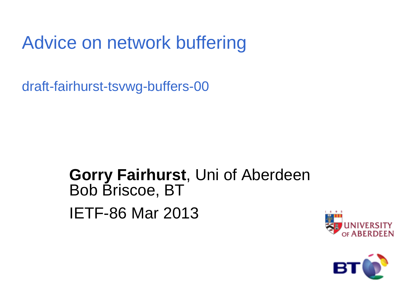### Advice on network buffering

draft-fairhurst-tsvwg-buffers-00

#### **Gorry Fairhurst**, Uni of Aberdeen Bob Briscoe, BT IETF-86 Mar 2013



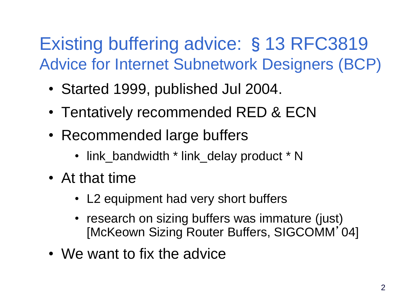### Existing buffering advice: §13 RFC3819 Advice for Internet Subnetwork Designers (BCP)

- Started 1999, published Jul 2004.
- Tentatively recommended RED & ECN
- Recommended large buffers
	- link\_bandwidth \* link\_delay product \* N
- At that time
	- L2 equipment had very short buffers
	- research on sizing buffers was immature (just) [McKeown Sizing Router Buffers, SIGCOMM'04]
- We want to fix the advice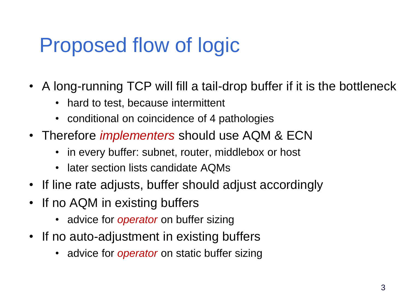## Proposed flow of logic

- A long-running TCP will fill a tail-drop buffer if it is the bottleneck
	- hard to test, because intermittent
	- conditional on coincidence of 4 pathologies
- Therefore *implementers* should use AQM & ECN
	- in every buffer: subnet, router, middlebox or host
	- later section lists candidate AQMs
- If line rate adjusts, buffer should adjust accordingly
- If no AQM in existing buffers
	- advice for *operator* on buffer sizing
- If no auto-adjustment in existing buffers
	- advice for *operator* on static buffer sizing